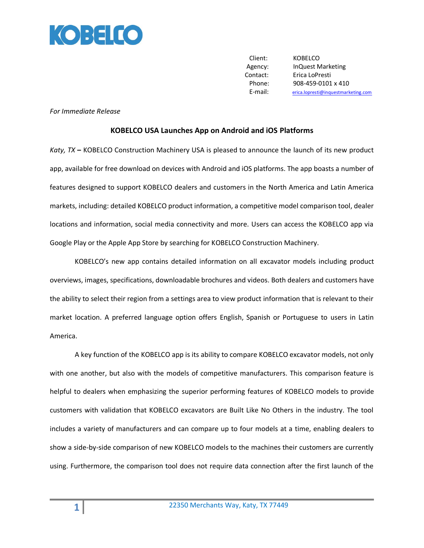

Client: KOBELCO Agency: InQuest Marketing Contact: Erica LoPresti Phone: 908-459-0101 x 410 E-mail: [erica.lopresti@inquestmarketing.com](mailto:erica.lopresti@inquestmarketing.com)

## *For Immediate Release*

## **KOBELCO USA Launches App on Android and iOS Platforms**

*Katy, TX* **–** KOBELCO Construction Machinery USA is pleased to announce the launch of its new product app, available for free download on devices with Android and iOS platforms. The app boasts a number of features designed to support KOBELCO dealers and customers in the North America and Latin America markets, including: detailed KOBELCO product information, a competitive model comparison tool, dealer locations and information, social media connectivity and more. Users can access the KOBELCO app via Google Play or the Apple App Store by searching for KOBELCO Construction Machinery.

KOBELCO's new app contains detailed information on all excavator models including product overviews, images, specifications, downloadable brochures and videos. Both dealers and customers have the ability to select their region from a settings area to view product information that is relevant to their market location. A preferred language option offers English, Spanish or Portuguese to users in Latin America.

A key function of the KOBELCO app is its ability to compare KOBELCO excavator models, not only with one another, but also with the models of competitive manufacturers. This comparison feature is helpful to dealers when emphasizing the superior performing features of KOBELCO models to provide customers with validation that KOBELCO excavators are Built Like No Others in the industry. The tool includes a variety of manufacturers and can compare up to four models at a time, enabling dealers to show a side-by-side comparison of new KOBELCO models to the machines their customers are currently using. Furthermore, the comparison tool does not require data connection after the first launch of the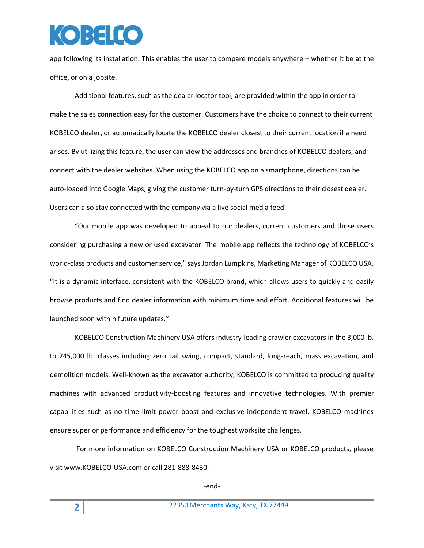## $\overline{(\bullet)}$  :  $\overline{z}$   $\overline{I}$   $\overline{C}$

app following its installation. This enables the user to compare models anywhere – whether it be at the office, or on a jobsite.

Additional features, such as the dealer locator tool, are provided within the app in order to make the sales connection easy for the customer. Customers have the choice to connect to their current KOBELCO dealer, or automatically locate the KOBELCO dealer closest to their current location if a need arises. By utilizing this feature, the user can view the addresses and branches of KOBELCO dealers, and connect with the dealer websites. When using the KOBELCO app on a smartphone, directions can be auto-loaded into Google Maps, giving the customer turn-by-turn GPS directions to their closest dealer. Users can also stay connected with the company via a live social media feed.

"Our mobile app was developed to appeal to our dealers, current customers and those users considering purchasing a new or used excavator. The mobile app reflects the technology of KOBELCO's world-class products and customer service," says Jordan Lumpkins, Marketing Manager of KOBELCO USA. "It is a dynamic interface, consistent with the KOBELCO brand, which allows users to quickly and easily browse products and find dealer information with minimum time and effort. Additional features will be launched soon within future updates."

KOBELCO Construction Machinery USA offers industry-leading crawler excavators in the 3,000 lb. to 245,000 lb. classes including zero tail swing, compact, standard, long-reach, mass excavation, and demolition models. Well-known as the excavator authority, KOBELCO is committed to producing quality machines with advanced productivity-boosting features and innovative technologies. With premier capabilities such as no time limit power boost and exclusive independent travel, KOBELCO machines ensure superior performance and efficiency for the toughest worksite challenges.

For more information on KOBELCO Construction Machinery USA or KOBELCO products, please visit www.KOBELCO-USA.com or call 281-888-8430.